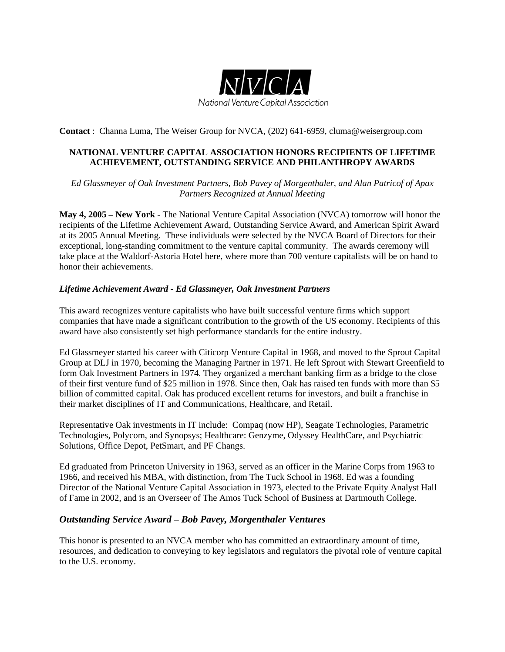

**Contact** : Channa Luma, The Weiser Group for NVCA, (202) 641-6959, cluma@weisergroup.com

## **NATIONAL VENTURE CAPITAL ASSOCIATION HONORS RECIPIENTS OF LIFETIME ACHIEVEMENT, OUTSTANDING SERVICE AND PHILANTHROPY AWARDS**

*Ed Glassmeyer of Oak Investment Partners, Bob Pavey of Morgenthaler, and Alan Patricof of Apax Partners Recognized at Annual Meeting* 

**May 4, 2005 – New York** - The National Venture Capital Association (NVCA) tomorrow will honor the recipients of the Lifetime Achievement Award, Outstanding Service Award, and American Spirit Award at its 2005 Annual Meeting. These individuals were selected by the NVCA Board of Directors for their exceptional, long-standing commitment to the venture capital community. The awards ceremony will take place at the Waldorf-Astoria Hotel here, where more than 700 venture capitalists will be on hand to honor their achievements.

## *Lifetime Achievement Award - Ed Glassmeyer, Oak Investment Partners*

This award recognizes venture capitalists who have built successful venture firms which support companies that have made a significant contribution to the growth of the US economy. Recipients of this award have also consistently set high performance standards for the entire industry.

Ed Glassmeyer started his career with Citicorp Venture Capital in 1968, and moved to the Sprout Capital Group at DLJ in 1970, becoming the Managing Partner in 1971. He left Sprout with Stewart Greenfield to form Oak Investment Partners in 1974. They organized a merchant banking firm as a bridge to the close of their first venture fund of \$25 million in 1978. Since then, Oak has raised ten funds with more than \$5 billion of committed capital. Oak has produced excellent returns for investors, and built a franchise in their market disciplines of IT and Communications, Healthcare, and Retail.

Representative Oak investments in IT include: Compaq (now HP), Seagate Technologies, Parametric Technologies, Polycom, and Synopsys; Healthcare: Genzyme, Odyssey HealthCare, and Psychiatric Solutions, Office Depot, PetSmart, and PF Changs.

Ed graduated from Princeton University in 1963, served as an officer in the Marine Corps from 1963 to 1966, and received his MBA, with distinction, from The Tuck School in 1968. Ed was a founding Director of the National Venture Capital Association in 1973, elected to the Private Equity Analyst Hall of Fame in 2002, and is an Overseer of The Amos Tuck School of Business at Dartmouth College.

## *Outstanding Service Award – Bob Pavey, Morgenthaler Ventures*

This honor is presented to an NVCA member who has committed an extraordinary amount of time, resources, and dedication to conveying to key legislators and regulators the pivotal role of venture capital to the U.S. economy.